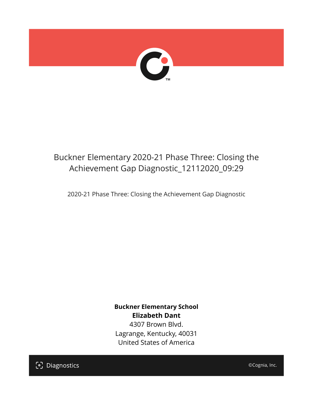

## Buckner Elementary 2020-21 Phase Three: Closing the Achievement Gap Diagnostic\_12112020\_09:29

2020-21 Phase Three: Closing the Achievement Gap Diagnostic

**Buckner Elementary School Elizabeth Dant** 4307 Brown Blvd. Lagrange, Kentucky, 40031 United States of America

[၁] Diagnostics

©Cognia, Inc.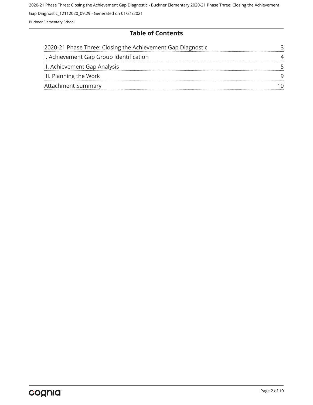#### **Table of Contents**

| 2020-21 Phase Three: Closing the Achievement Gap Diagnostic |  |
|-------------------------------------------------------------|--|
| I. Achievement Gap Group Identification                     |  |
| II. Achievement Gap Analysis                                |  |
| III. Planning the Work                                      |  |
| <b>Attachment Summary</b>                                   |  |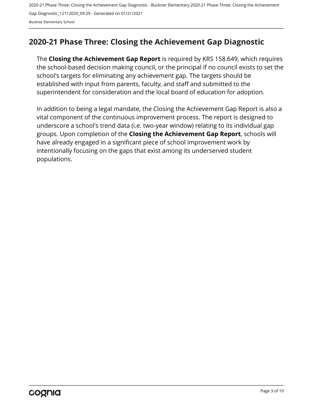## <span id="page-2-0"></span>**2020-21 Phase Three: Closing the Achievement Gap Diagnostic**

The **Closing the Achievement Gap Report** is required by KRS 158.649, which requires the school-based decision making council, or the principal if no council exists to set the school's targets for eliminating any achievement gap. The targets should be established with input from parents, faculty, and staff and submitted to the superintendent for consideration and the local board of education for adoption.

In addition to being a legal mandate, the Closing the Achievement Gap Report is also a vital component of the continuous improvement process. The report is designed to underscore a school's trend data (i.e. two-year window) relating to its individual gap groups. Upon completion of the **Closing the Achievement Gap Report**, schools will have already engaged in a significant piece of school improvement work by intentionally focusing on the gaps that exist among its underserved student populations.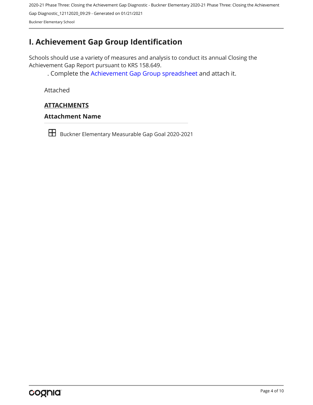## <span id="page-3-0"></span>**I. Achievement Gap Group Identification**

Schools should use a variety of measures and analysis to conduct its annual Closing the Achievement Gap Report pursuant to KRS 158.649.

. Complete the [Achievement Gap Group spreadsheet a](https://drive.google.com/file/d/0B7A6n8V1dmUOWFNKY2dSTTFibjA/view?usp=sharing)nd attach it.

Attached

### **ATTACHMENTS**

#### **Attachment Name**

Buckner Elementary Measurable Gap Goal 2020-2021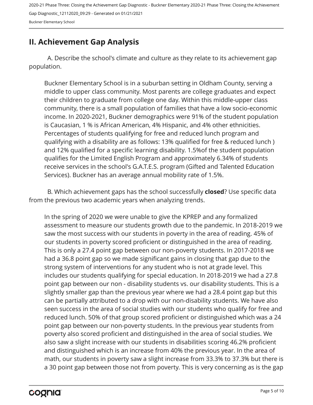#### Buckner Elementary School

## <span id="page-4-0"></span>**II. Achievement Gap Analysis**

A. Describe the school's climate and culture as they relate to its achievement gap population.

Buckner Elementary School is in a suburban setting in Oldham County, serving a middle to upper class community. Most parents are college graduates and expect their children to graduate from college one day. Within this middle-upper class community, there is a small population of families that have a low socio-economic income. In 2020-2021, Buckner demographics were 91% of the student population is Caucasian, 1 % is African American, 4% Hispanic, and 4% other ethnicities. Percentages of students qualifying for free and reduced lunch program and qualifying with a disability are as follows: 13% qualified for free & reduced lunch ) and 12% qualified for a specific learning disability. 1.5%of the student population qualifies for the Limited English Program and approximately 6.34% of students receive services in the school's G.A.T.E.S. program (Gifted and Talented Education Services). Buckner has an average annual mobility rate of 1.5%.

B. Which achievement gaps has the school successfully **closed**? Use specific data from the previous two academic years when analyzing trends.

In the spring of 2020 we were unable to give the KPREP and any formalized assessment to measure our students growth due to the pandemic. In 2018-2019 we saw the most success with our students in poverty in the area of reading. 45% of our students in poverty scored proficient or distinguished in the area of reading. This is only a 27.4 point gap between our non-poverty students. In 2017-2018 we had a 36.8 point gap so we made significant gains in closing that gap due to the strong system of interventions for any student who is not at grade level. This includes our students qualifying for special education. In 2018-2019 we had a 27.8 point gap between our non - disability students vs. our disability students. This is a slightly smaller gap than the previous year where we had a 28.4 point gap but this can be partially attributed to a drop with our non-disability students. We have also seen success in the area of social studies with our students who qualify for free and reduced lunch. 50% of that group scored proficient or distinguished which was a 24 point gap between our non-poverty students. In the previous year students from poverty also scored proficient and distinguished in the area of social studies. We also saw a slight increase with our students in disabilities scoring 46.2% proficient and distinguished which is an increase from 40% the previous year. In the area of math, our students in poverty saw a slight increase from 33.3% to 37.3% but there is a 30 point gap between those not from poverty. This is very concerning as is the gap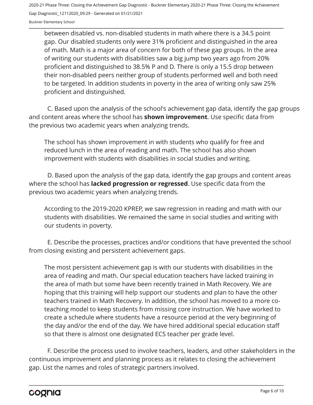between disabled vs. non-disabled students in math where there is a 34.5 point gap. Our disabled students only were 31% proficient and distinguished in the area of math. Math is a major area of concern for both of these gap groups. In the area of writing our students with disabilities saw a big jump two years ago from 20% proficient and distinguished to 38.5% P and D. There is only a 15.5 drop between their non-disabled peers neither group of students performed well and both need to be targeted. In addition students in poverty in the area of writing only saw 25% proficient and distinguished.

C. Based upon the analysis of the school's achievement gap data, identify the gap groups and content areas where the school has **shown improvement**. Use specific data from the previous two academic years when analyzing trends.

The school has shown improvement in with students who qualify for free and reduced lunch in the area of reading and math. The school has also shown improvement with students with disabilities in social studies and writing.

D. Based upon the analysis of the gap data, identify the gap groups and content areas where the school has **lacked progression or regressed**. Use specific data from the previous two academic years when analyzing trends.

According to the 2019-2020 KPREP, we saw regression in reading and math with our students with disabilities. We remained the same in social studies and writing with our students in poverty.

E. Describe the processes, practices and/or conditions that have prevented the school from closing existing and persistent achievement gaps.

The most persistent achievement gap is with our students with disabilities in the area of reading and math. Our special education teachers have lacked training in the area of math but some have been recently trained in Math Recovery. We are hoping that this training will help support our students and plan to have the other teachers trained in Math Recovery. In addition, the school has moved to a more coteaching model to keep students from missing core instruction. We have worked to create a schedule where students have a resource period at the very beginning of the day and/or the end of the day. We have hired additional special education staff so that there is almost one designated ECS teacher per grade level.

F. Describe the process used to involve teachers, leaders, and other stakeholders in the continuous improvement and planning process as it relates to closing the achievement gap. List the names and roles of strategic partners involved.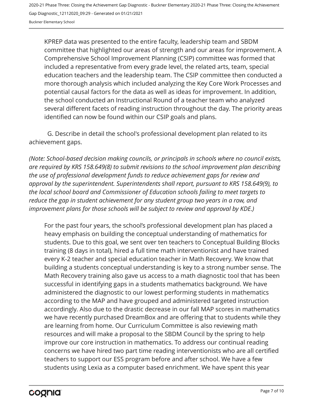KPREP data was presented to the entire faculty, leadership team and SBDM committee that highlighted our areas of strength and our areas for improvement. A Comprehensive School Improvement Planning (CSIP) committee was formed that included a representative from every grade level, the related arts, team, special education teachers and the leadership team. The CSIP committee then conducted a more thorough analysis which included analyzing the Key Core Work Processes and potential causal factors for the data as well as ideas for improvement. In addition, the school conducted an Instructional Round of a teacher team who analyzed several different facets of reading instruction throughout the day. The priority areas identified can now be found within our CSIP goals and plans.

G. Describe in detail the school's professional development plan related to its achievement gaps.

*(Note: School-based decision making councils, or principals in schools where no council exists, are required by KRS 158.649(8) to submit revisions to the school improvement plan describing the use of professional development funds to reduce achievement gaps for review and approval by the superintendent. Superintendents shall report, pursuant to KRS 158.649(9), to the local school board and Commissioner of Education schools failing to meet targets to reduce the gap in student achievement for any student group two years in a row, and improvement plans for those schools will be subject to review and approval by KDE.)* 

For the past four years, the school's professional development plan has placed a heavy emphasis on building the conceptual understanding of mathematics for students. Due to this goal, we sent over ten teachers to Conceptual Building Blocks training (8 days in total), hired a full time math interventionist and have trained every K-2 teacher and special education teacher in Math Recovery. We know that building a students conceptual understanding is key to a strong number sense. The Math Recovery training also gave us access to a math diagnostic tool that has been successful in identifying gaps in a students mathematics background. We have administered the diagnostic to our lowest performing students in mathematics according to the MAP and have grouped and administered targeted instruction accordingly. Also due to the drastic decrease in our fall MAP scores in mathematics we have recently purchased DreamBox and are offering that to students while they are learning from home. Our Curriculum Committee is also reviewing math resources and will make a proposal to the SBDM Council by the spring to help improve our core instruction in mathematics. To address our continual reading concerns we have hired two part time reading interventionists who are all certified teachers to support our ESS program before and after school. We have a few students using Lexia as a computer based enrichment. We have spent this year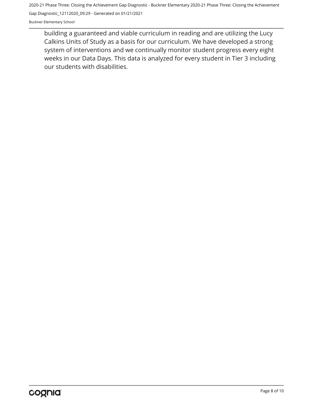Buckner Elementary School

building a guaranteed and viable curriculum in reading and are utilizing the Lucy Calkins Units of Study as a basis for our curriculum. We have developed a strong system of interventions and we continually monitor student progress every eight weeks in our Data Days. This data is analyzed for every student in Tier 3 including our students with disabilities.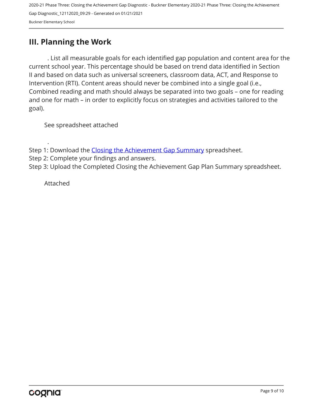## <span id="page-8-0"></span>**III. Planning the Work**

. List all measurable goals for each identified gap population and content area for the current school year. This percentage should be based on trend data identified in Section II and based on data such as universal screeners, classroom data, ACT, and Response to Intervention (RTI). Content areas should never be combined into a single goal (i.e., Combined reading and math should always be separated into two goals – one for reading and one for math – in order to explicitly focus on strategies and activities tailored to the goal).

See spreadsheet attached

- Step 1: Download the [Closing the Achievement Gap Summary](https://drive.google.com/file/d/0B6i22i6omk4ySmUtTHZuSVRFazQ/view) spreadsheet.
- Step 2: Complete your findings and answers.
- Step 3: Upload the Completed Closing the Achievement Gap Plan Summary spreadsheet.

Attached

.